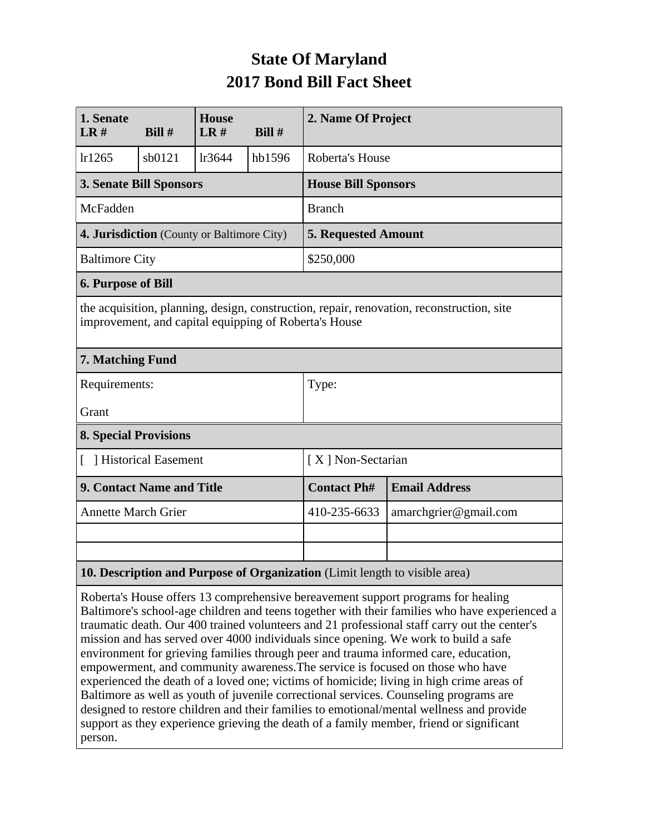## **State Of Maryland 2017 Bond Bill Fact Sheet**

| 1. Senate<br>LR#                                                                                                                                   | Bill#  | <b>House</b><br>LR# | Bill#  | 2. Name Of Project         |                       |  |
|----------------------------------------------------------------------------------------------------------------------------------------------------|--------|---------------------|--------|----------------------------|-----------------------|--|
| lr1265                                                                                                                                             | sb0121 | lr3644              | hb1596 | Roberta's House            |                       |  |
| <b>3. Senate Bill Sponsors</b>                                                                                                                     |        |                     |        | <b>House Bill Sponsors</b> |                       |  |
| McFadden                                                                                                                                           |        |                     |        | <b>Branch</b>              |                       |  |
| 4. Jurisdiction (County or Baltimore City)                                                                                                         |        |                     |        | <b>5. Requested Amount</b> |                       |  |
| <b>Baltimore City</b>                                                                                                                              |        |                     |        | \$250,000                  |                       |  |
| <b>6. Purpose of Bill</b>                                                                                                                          |        |                     |        |                            |                       |  |
| the acquisition, planning, design, construction, repair, renovation, reconstruction, site<br>improvement, and capital equipping of Roberta's House |        |                     |        |                            |                       |  |
| 7. Matching Fund                                                                                                                                   |        |                     |        |                            |                       |  |
| Requirements:                                                                                                                                      |        |                     |        | Type:                      |                       |  |
| Grant                                                                                                                                              |        |                     |        |                            |                       |  |
| <b>8. Special Provisions</b>                                                                                                                       |        |                     |        |                            |                       |  |
| [ ] Historical Easement                                                                                                                            |        |                     |        | [X] Non-Sectarian          |                       |  |
| <b>9. Contact Name and Title</b>                                                                                                                   |        |                     |        | <b>Contact Ph#</b>         | <b>Email Address</b>  |  |
| <b>Annette March Grier</b>                                                                                                                         |        |                     |        | 410-235-6633               | amarchgrier@gmail.com |  |
|                                                                                                                                                    |        |                     |        |                            |                       |  |
|                                                                                                                                                    |        |                     |        |                            |                       |  |
| 10. Description and Purpose of Organization (Limit length to visible area)                                                                         |        |                     |        |                            |                       |  |

Roberta's House offers 13 comprehensive bereavement support programs for healing Baltimore's school-age children and teens together with their families who have experienced a traumatic death. Our 400 trained volunteers and 21 professional staff carry out the center's mission and has served over 4000 individuals since opening. We work to build a safe environment for grieving families through peer and trauma informed care, education, empowerment, and community awareness.The service is focused on those who have experienced the death of a loved one; victims of homicide; living in high crime areas of Baltimore as well as youth of juvenile correctional services. Counseling programs are designed to restore children and their families to emotional/mental wellness and provide support as they experience grieving the death of a family member, friend or significant person.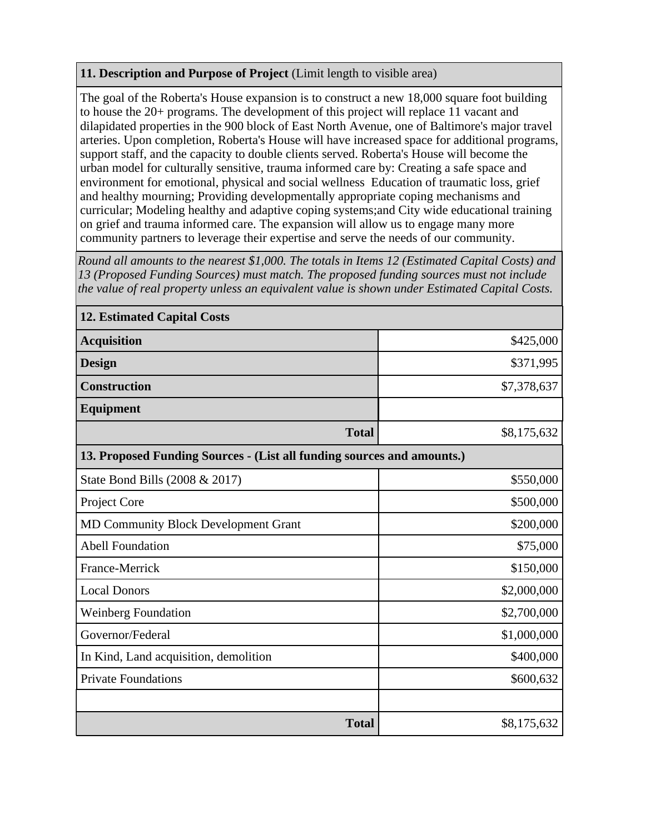## **11. Description and Purpose of Project** (Limit length to visible area)

The goal of the Roberta's House expansion is to construct a new 18,000 square foot building to house the 20+ programs. The development of this project will replace 11 vacant and dilapidated properties in the 900 block of East North Avenue, one of Baltimore's major travel arteries. Upon completion, Roberta's House will have increased space for additional programs, support staff, and the capacity to double clients served. Roberta's House will become the urban model for culturally sensitive, trauma informed care by: Creating a safe space and environment for emotional, physical and social wellness Education of traumatic loss, grief and healthy mourning; Providing developmentally appropriate coping mechanisms and curricular; Modeling healthy and adaptive coping systems;and City wide educational training on grief and trauma informed care. The expansion will allow us to engage many more community partners to leverage their expertise and serve the needs of our community.

*Round all amounts to the nearest \$1,000. The totals in Items 12 (Estimated Capital Costs) and 13 (Proposed Funding Sources) must match. The proposed funding sources must not include the value of real property unless an equivalent value is shown under Estimated Capital Costs.*

| <b>12. Estimated Capital Costs</b>                                     |             |  |  |  |  |
|------------------------------------------------------------------------|-------------|--|--|--|--|
| <b>Acquisition</b>                                                     | \$425,000   |  |  |  |  |
| <b>Design</b>                                                          | \$371,995   |  |  |  |  |
| <b>Construction</b>                                                    | \$7,378,637 |  |  |  |  |
| <b>Equipment</b>                                                       |             |  |  |  |  |
| <b>Total</b>                                                           | \$8,175,632 |  |  |  |  |
| 13. Proposed Funding Sources - (List all funding sources and amounts.) |             |  |  |  |  |
| State Bond Bills (2008 & 2017)                                         | \$550,000   |  |  |  |  |
| Project Core                                                           | \$500,000   |  |  |  |  |
| <b>MD Community Block Development Grant</b>                            | \$200,000   |  |  |  |  |
| <b>Abell Foundation</b>                                                | \$75,000    |  |  |  |  |
| France-Merrick                                                         | \$150,000   |  |  |  |  |
| <b>Local Donors</b>                                                    | \$2,000,000 |  |  |  |  |
| <b>Weinberg Foundation</b>                                             | \$2,700,000 |  |  |  |  |
| Governor/Federal                                                       | \$1,000,000 |  |  |  |  |
| In Kind, Land acquisition, demolition                                  | \$400,000   |  |  |  |  |
| <b>Private Foundations</b>                                             | \$600,632   |  |  |  |  |
|                                                                        |             |  |  |  |  |
| <b>Total</b>                                                           | \$8,175,632 |  |  |  |  |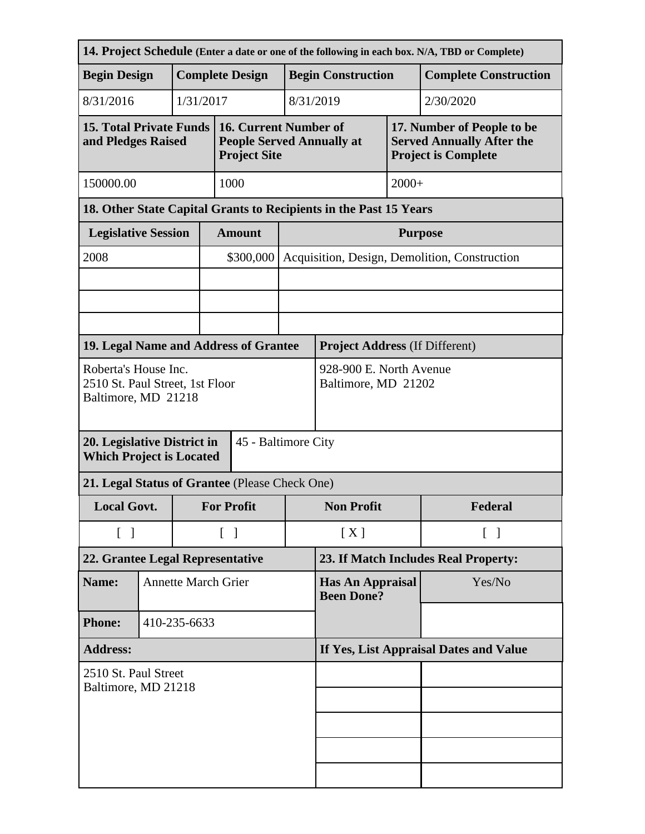| 14. Project Schedule (Enter a date or one of the following in each box. N/A, TBD or Complete) |                        |                            |           |                                                                                  |                                                |                                               |                              |                                                                                              |  |
|-----------------------------------------------------------------------------------------------|------------------------|----------------------------|-----------|----------------------------------------------------------------------------------|------------------------------------------------|-----------------------------------------------|------------------------------|----------------------------------------------------------------------------------------------|--|
| <b>Begin Design</b>                                                                           | <b>Complete Design</b> |                            |           | <b>Begin Construction</b>                                                        |                                                |                                               | <b>Complete Construction</b> |                                                                                              |  |
| 8/31/2016                                                                                     |                        |                            | 1/31/2017 |                                                                                  |                                                | 8/31/2019                                     |                              | 2/30/2020                                                                                    |  |
| <b>15. Total Private Funds</b><br>and Pledges Raised                                          |                        |                            |           | 16. Current Number of<br><b>People Served Annually at</b><br><b>Project Site</b> |                                                |                                               |                              | 17. Number of People to be<br><b>Served Annually After the</b><br><b>Project is Complete</b> |  |
| 150000.00                                                                                     |                        |                            |           | 1000                                                                             |                                                |                                               | $2000+$                      |                                                                                              |  |
|                                                                                               |                        |                            |           | 18. Other State Capital Grants to Recipients in the Past 15 Years                |                                                |                                               |                              |                                                                                              |  |
| <b>Legislative Session</b>                                                                    |                        |                            |           | <b>Amount</b>                                                                    |                                                | <b>Purpose</b>                                |                              |                                                                                              |  |
| 2008                                                                                          |                        |                            |           | \$300,000                                                                        |                                                | Acquisition, Design, Demolition, Construction |                              |                                                                                              |  |
|                                                                                               |                        |                            |           |                                                                                  |                                                |                                               |                              |                                                                                              |  |
|                                                                                               |                        |                            |           |                                                                                  |                                                |                                               |                              |                                                                                              |  |
|                                                                                               |                        |                            |           | 19. Legal Name and Address of Grantee                                            |                                                | <b>Project Address (If Different)</b>         |                              |                                                                                              |  |
| Roberta's House Inc.<br>2510 St. Paul Street, 1st Floor<br>Baltimore, MD 21218                |                        |                            |           |                                                                                  | 928-900 E. North Avenue<br>Baltimore, MD 21202 |                                               |                              |                                                                                              |  |
| 20. Legislative District in<br>45 - Baltimore City<br><b>Which Project is Located</b>         |                        |                            |           |                                                                                  |                                                |                                               |                              |                                                                                              |  |
| 21. Legal Status of Grantee (Please Check One)                                                |                        |                            |           |                                                                                  |                                                |                                               |                              |                                                                                              |  |
| <b>Local Govt.</b>                                                                            |                        |                            |           | <b>For Profit</b>                                                                |                                                | <b>Non Profit</b>                             |                              | Federal                                                                                      |  |
| $\begin{bmatrix} 1 \end{bmatrix}$                                                             |                        |                            |           | $\begin{bmatrix} 1 \end{bmatrix}$                                                |                                                | [X]<br>$\lceil \ \rceil$                      |                              |                                                                                              |  |
| 22. Grantee Legal Representative                                                              |                        |                            |           |                                                                                  |                                                | 23. If Match Includes Real Property:          |                              |                                                                                              |  |
| Name:                                                                                         |                        | <b>Annette March Grier</b> |           |                                                                                  |                                                | <b>Has An Appraisal</b><br><b>Been Done?</b>  |                              | Yes/No                                                                                       |  |
| <b>Phone:</b>                                                                                 |                        | 410-235-6633               |           |                                                                                  |                                                |                                               |                              |                                                                                              |  |
| <b>Address:</b>                                                                               |                        |                            |           |                                                                                  | If Yes, List Appraisal Dates and Value         |                                               |                              |                                                                                              |  |
| 2510 St. Paul Street<br>Baltimore, MD 21218                                                   |                        |                            |           |                                                                                  |                                                |                                               |                              |                                                                                              |  |
|                                                                                               |                        |                            |           |                                                                                  |                                                |                                               |                              |                                                                                              |  |
|                                                                                               |                        |                            |           |                                                                                  |                                                |                                               |                              |                                                                                              |  |
|                                                                                               |                        |                            |           |                                                                                  |                                                |                                               |                              |                                                                                              |  |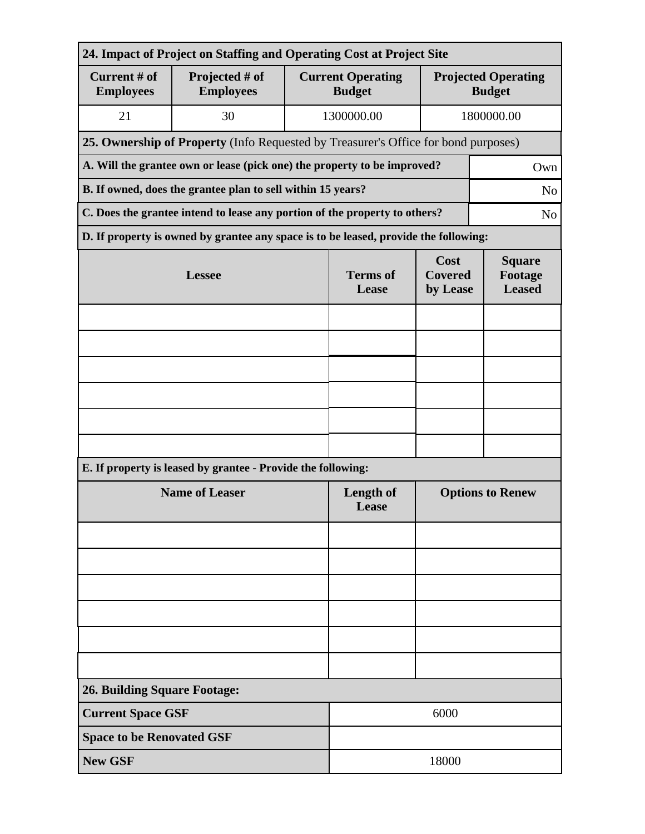| 24. Impact of Project on Staffing and Operating Cost at Project Site       |                                                                                      |                                                                                    |                                           |                                             |  |  |  |
|----------------------------------------------------------------------------|--------------------------------------------------------------------------------------|------------------------------------------------------------------------------------|-------------------------------------------|---------------------------------------------|--|--|--|
| Current # of<br><b>Employees</b>                                           | Projected # of<br><b>Employees</b>                                                   |                                                                                    | <b>Current Operating</b><br><b>Budget</b> | <b>Projected Operating</b><br><b>Budget</b> |  |  |  |
| 21                                                                         | 30                                                                                   | 1300000.00                                                                         | 1800000.00                                |                                             |  |  |  |
|                                                                            |                                                                                      | 25. Ownership of Property (Info Requested by Treasurer's Office for bond purposes) |                                           |                                             |  |  |  |
|                                                                            | A. Will the grantee own or lease (pick one) the property to be improved?             |                                                                                    |                                           | Own                                         |  |  |  |
| B. If owned, does the grantee plan to sell within 15 years?                |                                                                                      |                                                                                    |                                           |                                             |  |  |  |
| C. Does the grantee intend to lease any portion of the property to others? |                                                                                      |                                                                                    |                                           |                                             |  |  |  |
|                                                                            | D. If property is owned by grantee any space is to be leased, provide the following: |                                                                                    |                                           |                                             |  |  |  |
|                                                                            | <b>Lessee</b>                                                                        | <b>Terms</b> of<br>Lease                                                           | Cost<br><b>Covered</b><br>by Lease        | <b>Square</b><br>Footage<br><b>Leased</b>   |  |  |  |
|                                                                            |                                                                                      |                                                                                    |                                           |                                             |  |  |  |
|                                                                            |                                                                                      |                                                                                    |                                           |                                             |  |  |  |
|                                                                            |                                                                                      |                                                                                    |                                           |                                             |  |  |  |
|                                                                            |                                                                                      |                                                                                    |                                           |                                             |  |  |  |
|                                                                            |                                                                                      |                                                                                    |                                           |                                             |  |  |  |
|                                                                            |                                                                                      |                                                                                    |                                           |                                             |  |  |  |
|                                                                            | E. If property is leased by grantee - Provide the following:                         |                                                                                    |                                           |                                             |  |  |  |
|                                                                            | <b>Name of Leaser</b>                                                                | Length of<br>Lease                                                                 | <b>Options to Renew</b>                   |                                             |  |  |  |
|                                                                            |                                                                                      |                                                                                    |                                           |                                             |  |  |  |
|                                                                            |                                                                                      |                                                                                    |                                           |                                             |  |  |  |
|                                                                            |                                                                                      |                                                                                    |                                           |                                             |  |  |  |
|                                                                            |                                                                                      |                                                                                    |                                           |                                             |  |  |  |
|                                                                            |                                                                                      |                                                                                    |                                           |                                             |  |  |  |
|                                                                            |                                                                                      |                                                                                    |                                           |                                             |  |  |  |
| <b>26. Building Square Footage:</b>                                        |                                                                                      |                                                                                    |                                           |                                             |  |  |  |
| <b>Current Space GSF</b>                                                   |                                                                                      |                                                                                    | 6000                                      |                                             |  |  |  |
| <b>Space to be Renovated GSF</b>                                           |                                                                                      |                                                                                    |                                           |                                             |  |  |  |
| <b>New GSF</b>                                                             |                                                                                      |                                                                                    | 18000                                     |                                             |  |  |  |